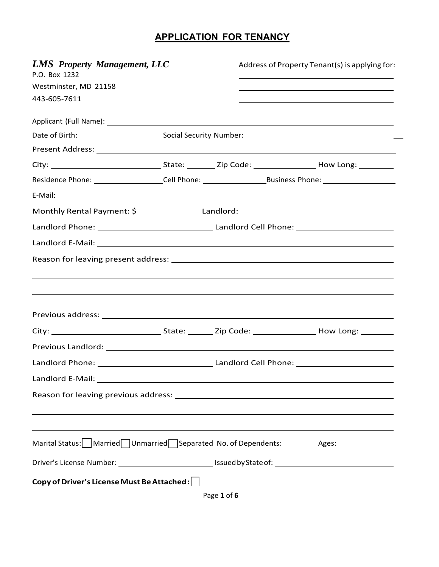## **APPLICATION FOR TENANCY**

| <b>LMS</b> Property Management, LLC<br>P.O. Box 1232                                                           |  | Address of Property Tenant(s) is applying for: |  |  |
|----------------------------------------------------------------------------------------------------------------|--|------------------------------------------------|--|--|
| Westminster, MD 21158                                                                                          |  |                                                |  |  |
| 443-605-7611                                                                                                   |  |                                                |  |  |
|                                                                                                                |  |                                                |  |  |
|                                                                                                                |  |                                                |  |  |
|                                                                                                                |  |                                                |  |  |
|                                                                                                                |  |                                                |  |  |
| Residence Phone: _____________________Cell Phone: _______________________________                              |  |                                                |  |  |
|                                                                                                                |  |                                                |  |  |
| Monthly Rental Payment: \$______________________Landlord: ________________________                             |  |                                                |  |  |
|                                                                                                                |  |                                                |  |  |
|                                                                                                                |  |                                                |  |  |
|                                                                                                                |  |                                                |  |  |
|                                                                                                                |  |                                                |  |  |
| ,我们也不会有什么。""我们的人,我们也不会有什么?""我们的人,我们也不会有什么?""我们的人,我们也不会有什么?""我们的人,我们也不会有什么?""我们的人                               |  |                                                |  |  |
|                                                                                                                |  |                                                |  |  |
|                                                                                                                |  |                                                |  |  |
|                                                                                                                |  |                                                |  |  |
|                                                                                                                |  |                                                |  |  |
|                                                                                                                |  |                                                |  |  |
| Landlord E-Mail:                                                                                               |  |                                                |  |  |
|                                                                                                                |  |                                                |  |  |
|                                                                                                                |  |                                                |  |  |
|                                                                                                                |  |                                                |  |  |
| Marital Status: Married Unmarried Separated No. of Dependents: __________Ages: ____________________            |  |                                                |  |  |
| Driver's License Number: __________________________________Issued by State of: _______________________________ |  |                                                |  |  |
| Copy of Driver's License Must Be Attached:                                                                     |  |                                                |  |  |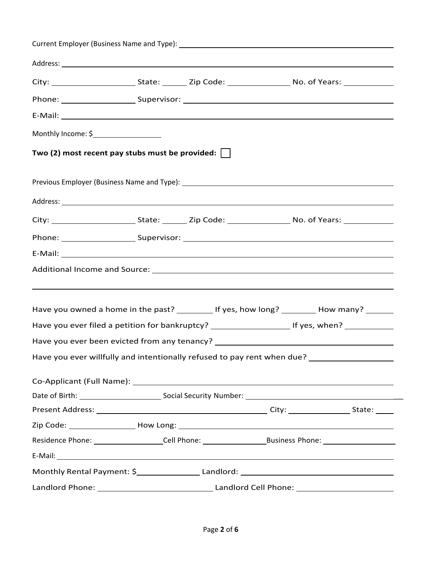| E-Mail: Entrepreneur and the contract of the contract of the contract of the contract of the contract of the contract of the contract of the contract of the contract of the contract of the contract of the contract of the c |  |  |  |                                                                                   |
|--------------------------------------------------------------------------------------------------------------------------------------------------------------------------------------------------------------------------------|--|--|--|-----------------------------------------------------------------------------------|
| Monthly Income: \$____________________                                                                                                                                                                                         |  |  |  |                                                                                   |
| Two (2) most recent pay stubs must be provided:                                                                                                                                                                                |  |  |  |                                                                                   |
|                                                                                                                                                                                                                                |  |  |  |                                                                                   |
|                                                                                                                                                                                                                                |  |  |  |                                                                                   |
|                                                                                                                                                                                                                                |  |  |  |                                                                                   |
|                                                                                                                                                                                                                                |  |  |  |                                                                                   |
|                                                                                                                                                                                                                                |  |  |  |                                                                                   |
|                                                                                                                                                                                                                                |  |  |  |                                                                                   |
|                                                                                                                                                                                                                                |  |  |  |                                                                                   |
|                                                                                                                                                                                                                                |  |  |  | ,我们也不会有什么。""我们的人,我们也不会有什么?""我们的人,我们也不会有什么?""我们的人,我们也不会有什么?""我们的人,我们也不会有什么?""我们的人  |
|                                                                                                                                                                                                                                |  |  |  |                                                                                   |
| Have you owned a home in the past? ___________ If yes, how long? __________ How many? _______<br>Have you ever filed a petition for bankruptcy? __________________________________ If yes, when? ______________                |  |  |  |                                                                                   |
| Have you ever been evicted from any tenancy? ___________________________________                                                                                                                                               |  |  |  |                                                                                   |
| Have you ever willfully and intentionally refused to pay rent when due?                                                                                                                                                        |  |  |  |                                                                                   |
|                                                                                                                                                                                                                                |  |  |  |                                                                                   |
|                                                                                                                                                                                                                                |  |  |  |                                                                                   |
|                                                                                                                                                                                                                                |  |  |  |                                                                                   |
|                                                                                                                                                                                                                                |  |  |  |                                                                                   |
|                                                                                                                                                                                                                                |  |  |  |                                                                                   |
|                                                                                                                                                                                                                                |  |  |  | Residence Phone: ____________________Cell Phone: ________________________________ |
|                                                                                                                                                                                                                                |  |  |  |                                                                                   |
| Monthly Rental Payment: \$______________________Landlord: ________________________                                                                                                                                             |  |  |  |                                                                                   |
|                                                                                                                                                                                                                                |  |  |  |                                                                                   |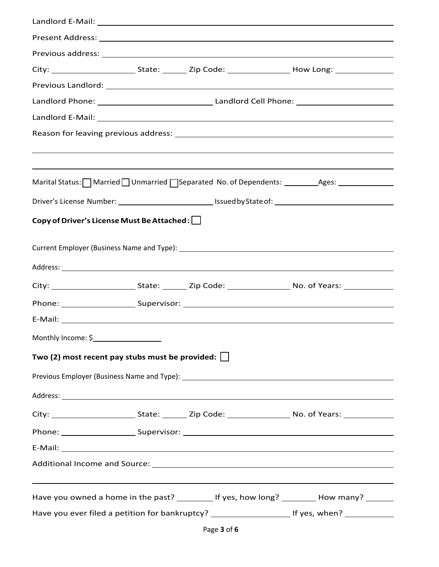|                                                        |  | Marital Status: Married Unmarried Separated No. of Dependents: __________Ages: ____________________            |
|--------------------------------------------------------|--|----------------------------------------------------------------------------------------------------------------|
|                                                        |  |                                                                                                                |
| Copy of Driver's License Must Be Attached:             |  |                                                                                                                |
|                                                        |  |                                                                                                                |
|                                                        |  |                                                                                                                |
|                                                        |  |                                                                                                                |
|                                                        |  |                                                                                                                |
|                                                        |  |                                                                                                                |
|                                                        |  |                                                                                                                |
|                                                        |  |                                                                                                                |
| Two (2) most recent pay stubs must be provided: $\Box$ |  |                                                                                                                |
|                                                        |  |                                                                                                                |
|                                                        |  |                                                                                                                |
|                                                        |  |                                                                                                                |
|                                                        |  |                                                                                                                |
|                                                        |  |                                                                                                                |
|                                                        |  |                                                                                                                |
|                                                        |  | Have you owned a home in the past? ___________ If yes, how long? __________ How many? _______                  |
|                                                        |  | Have you ever filed a petition for bankruptcy? __________________________________ If yes, when? ______________ |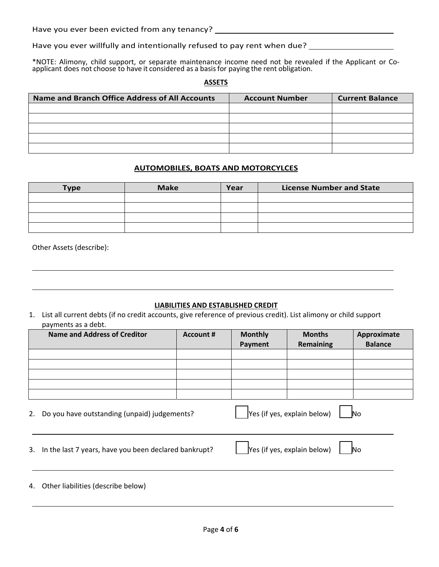Have you ever been evicted from any tenancy?

Have you ever willfully and intentionally refused to pay rent when due? \_\_\_\_\_\_\_\_\_

\*NOTE: Alimony, child support, or separate maintenance income need not be revealed if the Applicant or Co‐ applicant does not choose to have it considered as a basis for paying the rent obligation.

**ASSETS** 

| Name and Branch Office Address of All Accounts | <b>Account Number</b> | <b>Current Balance</b> |
|------------------------------------------------|-----------------------|------------------------|
|                                                |                       |                        |
|                                                |                       |                        |
|                                                |                       |                        |
|                                                |                       |                        |
|                                                |                       |                        |

## **AUTOMOBILES, BOATS AND MOTORCYLCES**

| <b>Type</b> | <b>Make</b> | Year | <b>License Number and State</b> |
|-------------|-------------|------|---------------------------------|
|             |             |      |                                 |
|             |             |      |                                 |
|             |             |      |                                 |
|             |             |      |                                 |

Other Assets (describe):

## **LIABILITIES AND ESTABLISHED CREDIT**

<u> 1989 - Johann Stoff, deutscher Stoffen und der Stoffen und der Stoffen und der Stoffen und der Stoffen und d</u>

1. List all current debts (if no credit accounts, give reference of previous credit). List alimony or child support payments as a debt.

|    | Name and Address of Creditor                          | Account #                          | <b>Monthly</b><br>Payment | <b>Months</b><br><b>Remaining</b> | Approximate<br><b>Balance</b> |
|----|-------------------------------------------------------|------------------------------------|---------------------------|-----------------------------------|-------------------------------|
|    |                                                       |                                    |                           |                                   |                               |
|    |                                                       |                                    |                           |                                   |                               |
|    |                                                       |                                    |                           |                                   |                               |
|    |                                                       |                                    |                           |                                   |                               |
|    |                                                       |                                    |                           |                                   |                               |
| 2. | Do you have outstanding (unpaid) judgements?          |                                    |                           | Yes (if yes, explain below)       | No                            |
| 3. | In the last 7 years, have you been declared bankrupt? | Yes (if yes, explain below)<br>No. |                           |                                   |                               |
| 4. | Other liabilities (describe below)                    |                                    |                           |                                   |                               |

<u> 1980 - Andrea Santa Alemania, amerikana amerikana amerikana amerikana amerikana amerikana amerikana amerikan</u>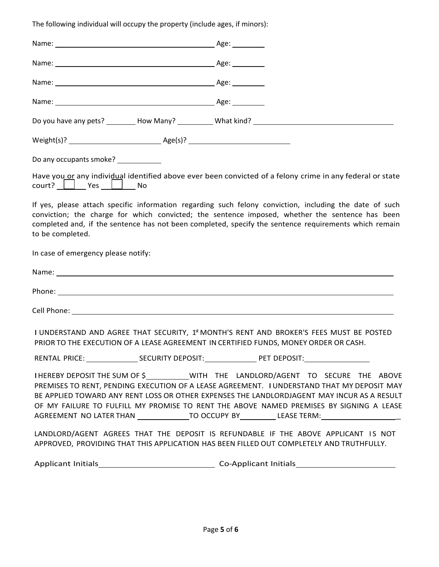The following individual will occupy the property (include ages, if minors):

| Do any occupants smoke? ____________ |                                                                                                                                                                                                                                                                                                                                                                                                                                                                                    |
|--------------------------------------|------------------------------------------------------------------------------------------------------------------------------------------------------------------------------------------------------------------------------------------------------------------------------------------------------------------------------------------------------------------------------------------------------------------------------------------------------------------------------------|
|                                      | Have you or any individual identified above ever been convicted of a felony crime in any federal or state                                                                                                                                                                                                                                                                                                                                                                          |
| to be completed.                     | If yes, please attach specific information regarding such felony conviction, including the date of such<br>conviction; the charge for which convicted; the sentence imposed, whether the sentence has been<br>completed and, if the sentence has not been completed, specify the sentence requirements which remain                                                                                                                                                                |
| In case of emergency please notify:  |                                                                                                                                                                                                                                                                                                                                                                                                                                                                                    |
|                                      |                                                                                                                                                                                                                                                                                                                                                                                                                                                                                    |
|                                      |                                                                                                                                                                                                                                                                                                                                                                                                                                                                                    |
|                                      |                                                                                                                                                                                                                                                                                                                                                                                                                                                                                    |
|                                      | I UNDERSTAND AND AGREE THAT SECURITY, 1 <sup>st</sup> MONTH'S RENT AND BROKER'S FEES MUST BE POSTED<br>PRIOR TO THE EXECUTION OF A LEASE AGREEMENT IN CERTIFIED FUNDS, MONEY ORDER OR CASH.                                                                                                                                                                                                                                                                                        |
|                                      |                                                                                                                                                                                                                                                                                                                                                                                                                                                                                    |
|                                      | IHEREBY DEPOSIT THE SUM OF \$___________WITH THE LANDLORD/AGENT TO SECURE THE ABOVE<br>PREMISES TO RENT, PENDING EXECUTION OF A LEASE AGREEMENT. I UNDERSTAND THAT MY DEPOSIT MAY<br>BE APPLIED TOWARD ANY RENT LOSS OR OTHER EXPENSES THE LANDLORDJAGENT MAY INCUR AS A RESULT<br>OF MY FAILURE TO FULFILL MY PROMISE TO RENT THE ABOVE NAMED PREMISES BY SIGNING A LEASE<br>AGREEMENT NO LATER THAN ________________TO OCCUPY BY___________LEASE TERM:__________________________ |
|                                      | LANDLORD/AGENT AGREES THAT THE DEPOSIT IS REFUNDABLE IF THE ABOVE APPLICANT IS NOT<br>APPROVED, PROVIDING THAT THIS APPLICATION HAS BEEN FILLED OUT COMPLETELY AND TRUTHFULLY.                                                                                                                                                                                                                                                                                                     |
|                                      |                                                                                                                                                                                                                                                                                                                                                                                                                                                                                    |